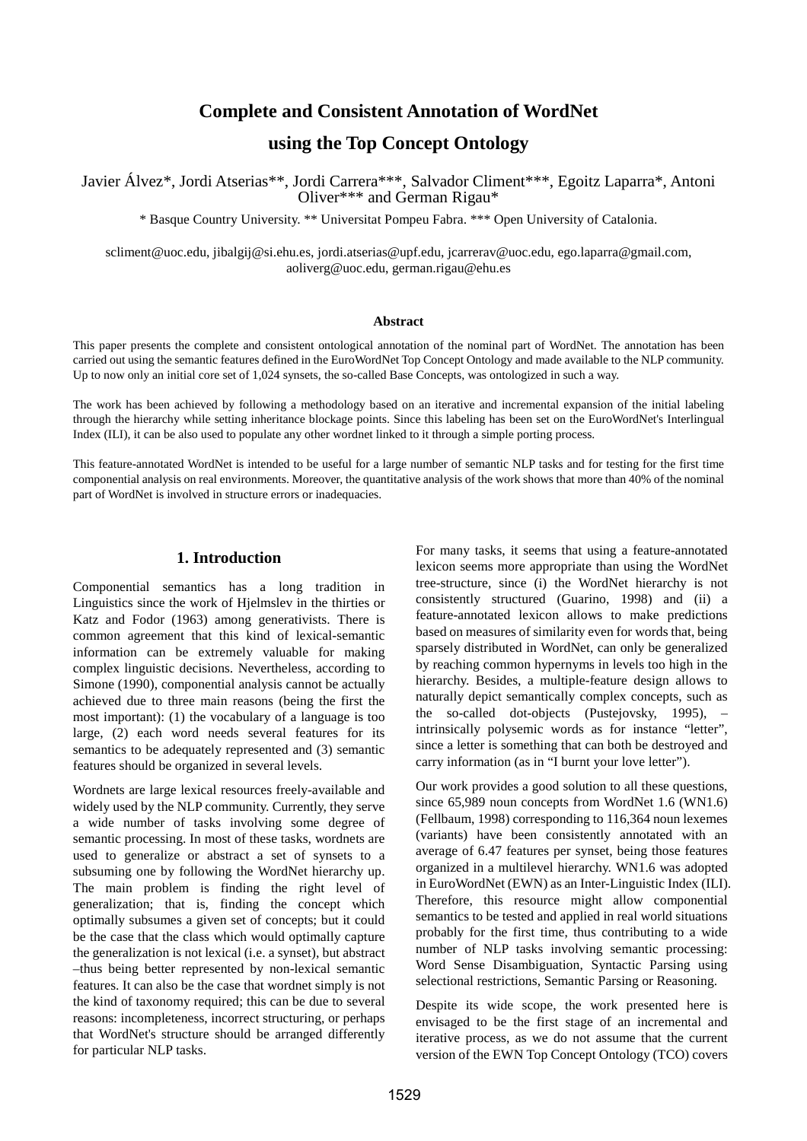# **Complete and Consistent Annotation of WordNet**

# **using the Top Concept Ontology**

Javier Álvez\*, Jordi Atserias\*\*, Jordi Carrera\*\*\*, Salvador Climent\*\*\*, Egoitz Laparra\*, Antoni Oliver\*\*\* and German Rigau\*

\* Basque Country University. \*\* Universitat Pompeu Fabra. \*\*\* Open University of Catalonia.

scliment@uoc.edu, jibalgij@si.ehu.es, jordi.atserias@upf.edu, jcarrerav@uoc.edu, ego.laparra@gmail.com, aoliverg@uoc.edu, german.rigau@ehu.es

#### **Abstract**

This paper presents the complete and consistent ontological annotation of the nominal part of WordNet. The annotation has been carried out using the semantic features defined in the EuroWordNet Top Concept Ontology and made available to the NLP community. Up to now only an initial core set of 1,024 synsets, the so-called Base Concepts, was ontologized in such a way.

The work has been achieved by following a methodology based on an iterative and incremental expansion of the initial labeling through the hierarchy while setting inheritance blockage points. Since this labeling has been set on the EuroWordNet's Interlingual Index (ILI), it can be also used to populate any other wordnet linked to it through a simple porting process.

This feature-annotated WordNet is intended to be useful for a large number of semantic NLP tasks and for testing for the first time componential analysis on real environments. Moreover, the quantitative analysis of the work shows that more than 40% of the nominal part of WordNet is involved in structure errors or inadequacies.

## **1. Introduction**

Componential semantics has a long tradition in Linguistics since the work of Hjelmslev in the thirties or Katz and Fodor (1963) among generativists. There is common agreement that this kind of lexical-semantic information can be extremely valuable for making complex linguistic decisions. Nevertheless, according to Simone (1990), componential analysis cannot be actually achieved due to three main reasons (being the first the most important): (1) the vocabulary of a language is too large, (2) each word needs several features for its semantics to be adequately represented and (3) semantic features should be organized in several levels.

Wordnets are large lexical resources freely-available and widely used by the NLP community. Currently, they serve a wide number of tasks involving some degree of semantic processing. In most of these tasks, wordnets are used to generalize or abstract a set of synsets to a subsuming one by following the WordNet hierarchy up. The main problem is finding the right level of generalization; that is, finding the concept which optimally subsumes a given set of concepts; but it could be the case that the class which would optimally capture the generalization is not lexical (i.e. a synset), but abstract –thus being better represented by non-lexical semantic features. It can also be the case that wordnet simply is not the kind of taxonomy required; this can be due to several reasons: incompleteness, incorrect structuring, or perhaps that WordNet's structure should be arranged differently for particular NLP tasks.

For many tasks, it seems that using a feature-annotated lexicon seems more appropriate than using the WordNet tree-structure, since (i) the WordNet hierarchy is not consistently structured (Guarino, 1998) and (ii) a feature-annotated lexicon allows to make predictions based on measures of similarity even for words that, being sparsely distributed in WordNet, can only be generalized by reaching common hypernyms in levels too high in the hierarchy. Besides, a multiple-feature design allows to naturally depict semantically complex concepts, such as the so-called dot-objects (Pustejovsky, 1995), – intrinsically polysemic words as for instance "letter", since a letter is something that can both be destroyed and carry information (as in "I burnt your love letter").

Our work provides a good solution to all these questions, since 65,989 noun concepts from WordNet 1.6 (WN1.6) (Fellbaum, 1998) corresponding to 116,364 noun lexemes (variants) have been consistently annotated with an average of 6.47 features per synset, being those features organized in a multilevel hierarchy. WN1.6 was adopted in EuroWordNet (EWN) as an Inter-Linguistic Index (ILI). Therefore, this resource might allow componential semantics to be tested and applied in real world situations probably for the first time, thus contributing to a wide number of NLP tasks involving semantic processing: Word Sense Disambiguation, Syntactic Parsing using selectional restrictions, Semantic Parsing or Reasoning.

Despite its wide scope, the work presented here is envisaged to be the first stage of an incremental and iterative process, as we do not assume that the current version of the EWN Top Concept Ontology (TCO) covers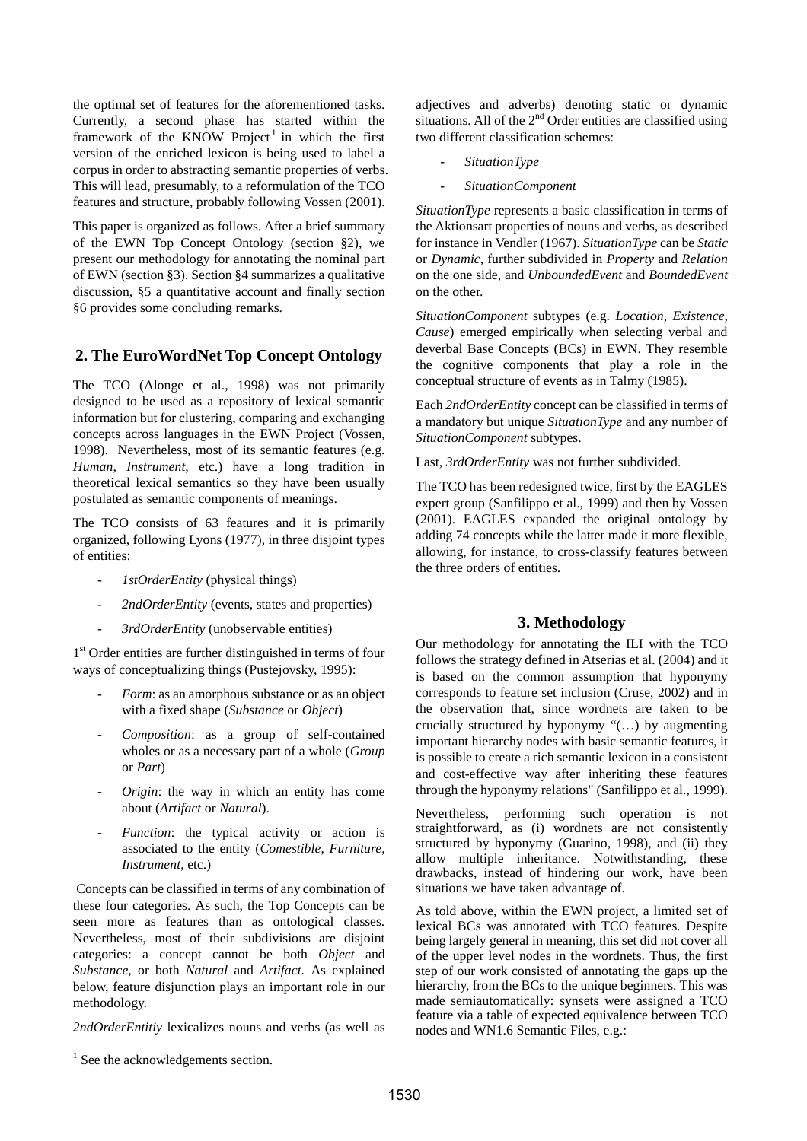the optimal set of features for the aforementioned tasks. Currently, a second phase has started within the framework of the KNOW Project<sup>1</sup> in which the first version of the enriched lexicon is being used to label a corpus in order to abstracting semantic properties of verbs. This will lead, presumably, to a reformulation of the TCO features and structure, probably following Vossen (2001).

This paper is organized as follows. After a brief summary of the EWN Top Concept Ontology (section §2), we present our methodology for annotating the nominal part of EWN (section §3). Section §4 summarizes a qualitative discussion, §5 a quantitative account and finally section §6 provides some concluding remarks.

# **2. The EuroWordNet Top Concept Ontology**

The TCO (Alonge et al., 1998) was not primarily designed to be used as a repository of lexical semantic information but for clustering, comparing and exchanging concepts across languages in the EWN Project (Vossen, 1998). Nevertheless, most of its semantic features (e.g. *Human*, *Instrument*, etc.) have a long tradition in theoretical lexical semantics so they have been usually postulated as semantic components of meanings.

The TCO consists of 63 features and it is primarily organized, following Lyons (1977), in three disjoint types of entities:

- *1stOrderEntity* (physical things)
- 2ndOrderEntity (events, states and properties)
- *3rdOrderEntity* (unobservable entities)

1 st Order entities are further distinguished in terms of four ways of conceptualizing things (Pustejovsky, 1995):

- *Form*: as an amorphous substance or as an object with a fixed shape (*Substance* or *Object*)
- *Composition*: as a group of self-contained wholes or as a necessary part of a whole (*Group* or *Part*)
- *Origin*: the way in which an entity has come about (*Artifact* or *Natural*).
- Function: the typical activity or action is associated to the entity (*Comestible*, *Furniture*, *Instrument*, etc.)

 Concepts can be classified in terms of any combination of these four categories. As such, the Top Concepts can be seen more as features than as ontological classes. Nevertheless, most of their subdivisions are disjoint categories: a concept cannot be both *Object* and *Substance*, or both *Natural* and *Artifact*. As explained below, feature disjunction plays an important role in our methodology.

*2ndOrderEntitiy* lexicalizes nouns and verbs (as well as

adjectives and adverbs) denoting static or dynamic situations. All of the  $2<sup>nd</sup>$  Order entities are classified using two different classification schemes:

- *SituationType*
- *SituationComponent*

*SituationType* represents a basic classification in terms of the Aktionsart properties of nouns and verbs, as described for instance in Vendler (1967). *SituationType* can be *Static* or *Dynamic*, further subdivided in *Property* and *Relation* on the one side, and *UnboundedEvent* and *BoundedEvent* on the other.

*SituationComponent* subtypes (e.g. *Location*, *Existence*, *Cause*) emerged empirically when selecting verbal and deverbal Base Concepts (BCs) in EWN. They resemble the cognitive components that play a role in the conceptual structure of events as in Talmy (1985).

Each *2ndOrderEntity* concept can be classified in terms of a mandatory but unique *SituationType* and any number of *SituationComponent* subtypes.

Last, *3rdOrderEntity* was not further subdivided.

The TCO has been redesigned twice, first by the EAGLES expert group (Sanfilippo et al., 1999) and then by Vossen (2001). EAGLES expanded the original ontology by adding 74 concepts while the latter made it more flexible, allowing, for instance, to cross-classify features between the three orders of entities.

# **3. Methodology**

Our methodology for annotating the ILI with the TCO follows the strategy defined in Atserias et al. (2004) and it is based on the common assumption that hyponymy corresponds to feature set inclusion (Cruse, 2002) and in the observation that, since wordnets are taken to be crucially structured by hyponymy "(…) by augmenting important hierarchy nodes with basic semantic features, it is possible to create a rich semantic lexicon in a consistent and cost-effective way after inheriting these features through the hyponymy relations" (Sanfilippo et al., 1999).

Nevertheless, performing such operation is not straightforward, as (i) wordnets are not consistently structured by hyponymy (Guarino, 1998), and (ii) they allow multiple inheritance. Notwithstanding, these drawbacks, instead of hindering our work, have been situations we have taken advantage of.

As told above, within the EWN project, a limited set of lexical BCs was annotated with TCO features. Despite being largely general in meaning, this set did not cover all of the upper level nodes in the wordnets. Thus, the first step of our work consisted of annotating the gaps up the hierarchy, from the BCs to the unique beginners. This was made semiautomatically: synsets were assigned a TCO feature via a table of expected equivalence between TCO nodes and WN1.6 Semantic Files, e.g.:

<sup>&</sup>lt;sup>1</sup> See the acknowledgements section.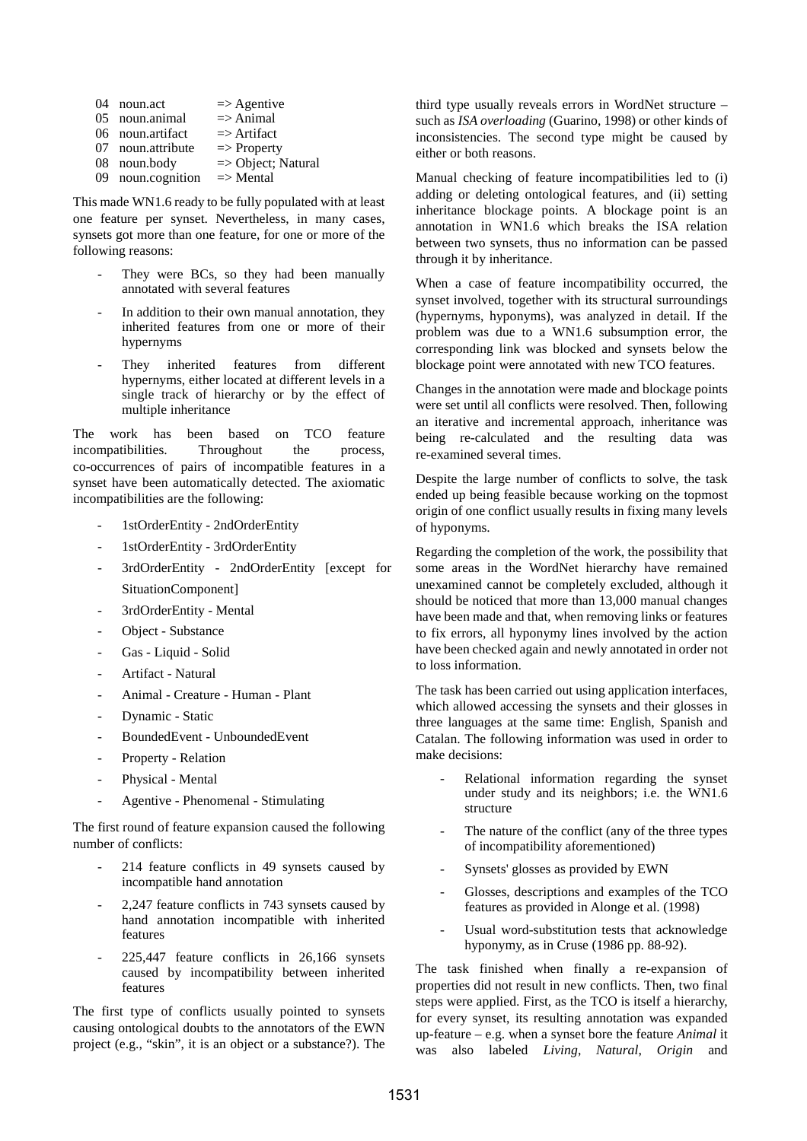| $^{(14)}$ | noun.act          | $\Rightarrow$ Agentive |
|-----------|-------------------|------------------------|
|           | 05 noun.animal    | $\Rightarrow$ Animal   |
|           | 06 noun.artifact  | $\Rightarrow$ Artifact |
|           | 07 noun.attribute | $\Rightarrow$ Property |
|           | 08 noun.body      | => Object; Natural     |
|           | 09 noun.cognition | $\Rightarrow$ Mental   |

This made WN1.6 ready to be fully populated with at least one feature per synset. Nevertheless, in many cases, synsets got more than one feature, for one or more of the following reasons:

- They were BCs, so they had been manually annotated with several features
- In addition to their own manual annotation, they inherited features from one or more of their hypernyms
- They inherited features from different hypernyms, either located at different levels in a single track of hierarchy or by the effect of multiple inheritance

The work has been based on TCO feature incompatibilities. Throughout the process, co-occurrences of pairs of incompatible features in a synset have been automatically detected. The axiomatic incompatibilities are the following:

- 1stOrderEntity 2ndOrderEntity
- 1stOrderEntity 3rdOrderEntity
- 3rdOrderEntity 2ndOrderEntity [except for SituationComponent]
- 3rdOrderEntity Mental
- Object Substance
- Gas Liquid Solid
- Artifact Natural
- Animal Creature Human Plant
- Dynamic Static
- BoundedEvent UnboundedEvent
- Property Relation
- Physical Mental
- Agentive Phenomenal Stimulating

The first round of feature expansion caused the following number of conflicts:

- 214 feature conflicts in 49 synsets caused by incompatible hand annotation
- 2,247 feature conflicts in 743 synsets caused by hand annotation incompatible with inherited features
- 225,447 feature conflicts in 26,166 synsets caused by incompatibility between inherited features

The first type of conflicts usually pointed to synsets causing ontological doubts to the annotators of the EWN project (e.g., "skin", it is an object or a substance?). The third type usually reveals errors in WordNet structure – such as *ISA overloading* (Guarino, 1998) or other kinds of inconsistencies. The second type might be caused by either or both reasons.

Manual checking of feature incompatibilities led to (i) adding or deleting ontological features, and (ii) setting inheritance blockage points. A blockage point is an annotation in WN1.6 which breaks the ISA relation between two synsets, thus no information can be passed through it by inheritance.

When a case of feature incompatibility occurred, the synset involved, together with its structural surroundings (hypernyms, hyponyms), was analyzed in detail. If the problem was due to a WN1.6 subsumption error, the corresponding link was blocked and synsets below the blockage point were annotated with new TCO features.

Changes in the annotation were made and blockage points were set until all conflicts were resolved. Then, following an iterative and incremental approach, inheritance was being re-calculated and the resulting data was re-examined several times.

Despite the large number of conflicts to solve, the task ended up being feasible because working on the topmost origin of one conflict usually results in fixing many levels of hyponyms.

Regarding the completion of the work, the possibility that some areas in the WordNet hierarchy have remained unexamined cannot be completely excluded, although it should be noticed that more than 13,000 manual changes have been made and that, when removing links or features to fix errors, all hyponymy lines involved by the action have been checked again and newly annotated in order not to loss information.

The task has been carried out using application interfaces, which allowed accessing the synsets and their glosses in three languages at the same time: English, Spanish and Catalan. The following information was used in order to make decisions:

- Relational information regarding the synset under study and its neighbors; i.e. the WN1.6 structure
- The nature of the conflict (any of the three types of incompatibility aforementioned)
- Synsets' glosses as provided by EWN
- Glosses, descriptions and examples of the TCO features as provided in Alonge et al. (1998)
- Usual word-substitution tests that acknowledge hyponymy, as in Cruse (1986 pp. 88-92).

The task finished when finally a re-expansion of properties did not result in new conflicts. Then, two final steps were applied. First, as the TCO is itself a hierarchy, for every synset, its resulting annotation was expanded up-feature – e.g. when a synset bore the feature *Animal* it was also labeled *Living*, *Natural*, *Origin* and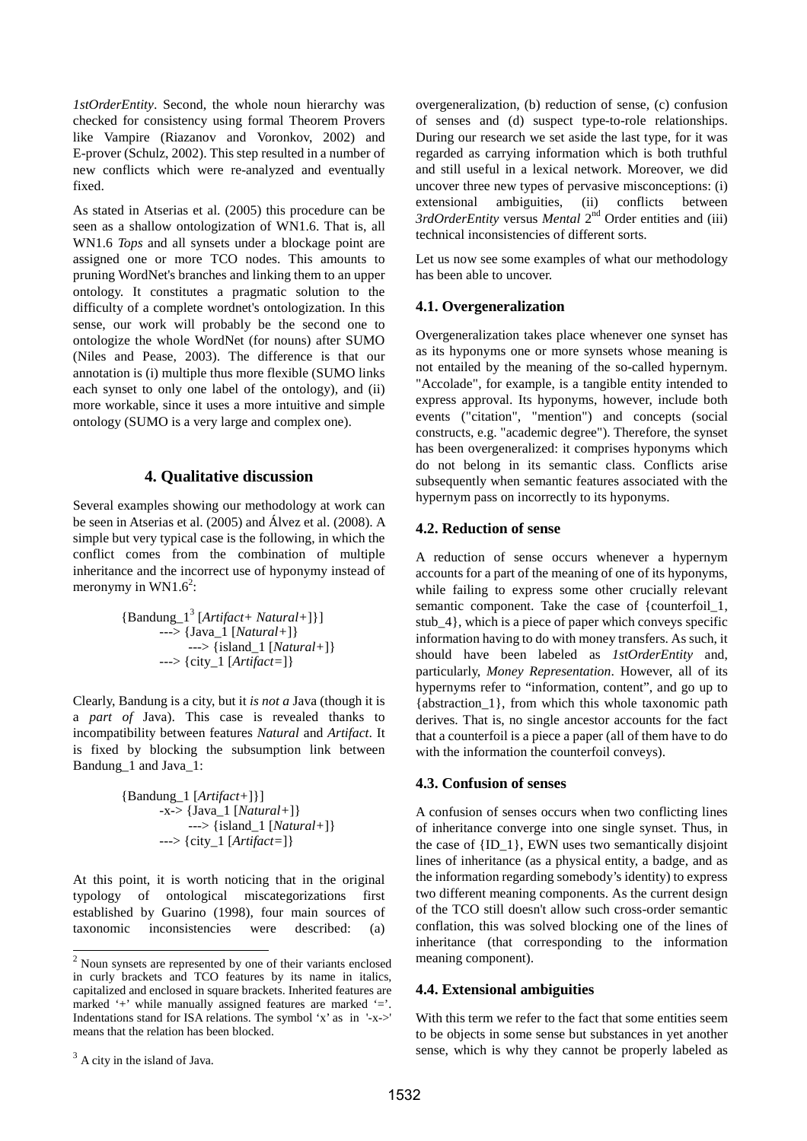*1stOrderEntity*. Second, the whole noun hierarchy was checked for consistency using formal Theorem Provers like Vampire (Riazanov and Voronkov, 2002) and E-prover (Schulz, 2002). This step resulted in a number of new conflicts which were re-analyzed and eventually fixed.

As stated in Atserias et al. (2005) this procedure can be seen as a shallow ontologization of WN1.6. That is, all WN1.6 *Tops* and all synsets under a blockage point are assigned one or more TCO nodes. This amounts to pruning WordNet's branches and linking them to an upper ontology. It constitutes a pragmatic solution to the difficulty of a complete wordnet's ontologization. In this sense, our work will probably be the second one to ontologize the whole WordNet (for nouns) after SUMO (Niles and Pease, 2003). The difference is that our annotation is (i) multiple thus more flexible (SUMO links each synset to only one label of the ontology), and (ii) more workable, since it uses a more intuitive and simple ontology (SUMO is a very large and complex one).

#### **4. Qualitative discussion**

Several examples showing our methodology at work can be seen in Atserias et al. (2005) and Álvez et al. (2008). A simple but very typical case is the following, in which the conflict comes from the combination of multiple inheritance and the incorrect use of hyponymy instead of meronymy in WN1.6<sup>2</sup>:

> {Bandung\_1<sup>3</sup> [*Artifact+ Natural+*]}] ---> {Java\_1 [*Natural+*]} ---> {island\_1 [*Natural+*]} ---> {city\_1 [*Artifact=*]}

Clearly, Bandung is a city, but it *is not a* Java (though it is a *part of* Java). This case is revealed thanks to incompatibility between features *Natural* and *Artifact*. It is fixed by blocking the subsumption link between Bandung\_1 and Java\_1:

> {Bandung\_1 [*Artifact+*]}] -x-> {Java\_1 [*Natural+*]} ---> {island\_1 [*Natural+*]} ---> {city\_1 [*Artifact=*]}

At this point, it is worth noticing that in the original typology of ontological miscategorizations first established by Guarino (1998), four main sources of taxonomic inconsistencies were described: (a)

 $\overline{a}$ 

overgeneralization, (b) reduction of sense, (c) confusion of senses and (d) suspect type-to-role relationships. During our research we set aside the last type, for it was regarded as carrying information which is both truthful and still useful in a lexical network. Moreover, we did uncover three new types of pervasive misconceptions: (i) extensional ambiguities, (ii) conflicts between *3rdOrderEntity* versus *Mental* 2nd Order entities and (iii) technical inconsistencies of different sorts.

Let us now see some examples of what our methodology has been able to uncover.

#### **4.1. Overgeneralization**

Overgeneralization takes place whenever one synset has as its hyponyms one or more synsets whose meaning is not entailed by the meaning of the so-called hypernym. "Accolade", for example, is a tangible entity intended to express approval. Its hyponyms, however, include both events ("citation", "mention") and concepts (social constructs, e.g. "academic degree"). Therefore, the synset has been overgeneralized: it comprises hyponyms which do not belong in its semantic class. Conflicts arise subsequently when semantic features associated with the hypernym pass on incorrectly to its hyponyms.

### **4.2. Reduction of sense**

A reduction of sense occurs whenever a hypernym accounts for a part of the meaning of one of its hyponyms, while failing to express some other crucially relevant semantic component. Take the case of {counterfoil\_1, stub\_4}, which is a piece of paper which conveys specific information having to do with money transfers. As such, it should have been labeled as *1stOrderEntity* and, particularly, *Money Representation*. However, all of its hypernyms refer to "information, content", and go up to {abstraction\_1}, from which this whole taxonomic path derives. That is, no single ancestor accounts for the fact that a counterfoil is a piece a paper (all of them have to do with the information the counterfoil conveys).

#### **4.3. Confusion of senses**

A confusion of senses occurs when two conflicting lines of inheritance converge into one single synset. Thus, in the case of {ID\_1}, EWN uses two semantically disjoint lines of inheritance (as a physical entity, a badge, and as the information regarding somebody's identity) to express two different meaning components. As the current design of the TCO still doesn't allow such cross-order semantic conflation, this was solved blocking one of the lines of inheritance (that corresponding to the information meaning component).

### **4.4. Extensional ambiguities**

With this term we refer to the fact that some entities seem to be objects in some sense but substances in yet another sense, which is why they cannot be properly labeled as

 $2$  Noun synsets are represented by one of their variants enclosed in curly brackets and TCO features by its name in italics, capitalized and enclosed in square brackets. Inherited features are marked '+' while manually assigned features are marked '='. Indentations stand for ISA relations. The symbol 'x' as in '-x->' means that the relation has been blocked.

 $3$  A city in the island of Java.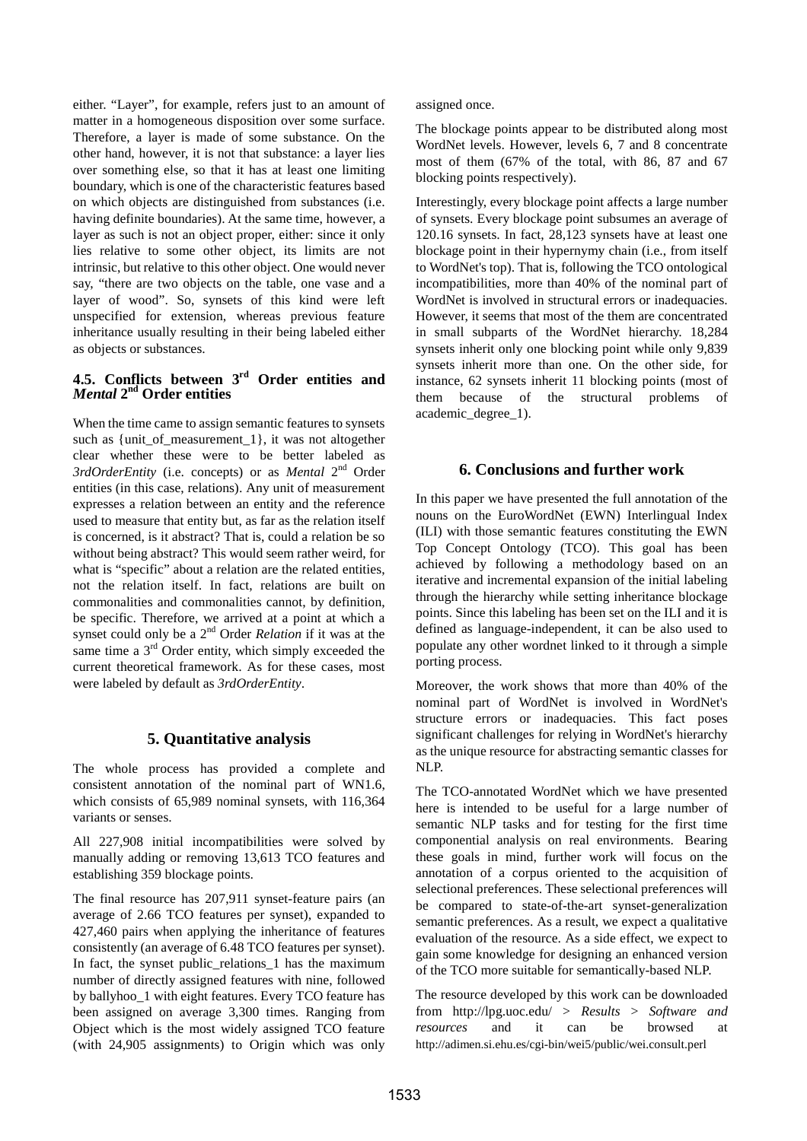either. "Layer", for example, refers just to an amount of matter in a homogeneous disposition over some surface. Therefore, a layer is made of some substance. On the other hand, however, it is not that substance: a layer lies over something else, so that it has at least one limiting boundary, which is one of the characteristic features based on which objects are distinguished from substances (i.e. having definite boundaries). At the same time, however, a layer as such is not an object proper, either: since it only lies relative to some other object, its limits are not intrinsic, but relative to this other object. One would never say, "there are two objects on the table, one vase and a layer of wood". So, synsets of this kind were left unspecified for extension, whereas previous feature inheritance usually resulting in their being labeled either as objects or substances.

## **4.5. Conflicts between 3rd Order entities and**  *Mental* **2nd Order entities**

When the time came to assign semantic features to synsets such as {unit\_of\_measurement\_1}, it was not altogether clear whether these were to be better labeled as *3rdOrderEntity* (i.e. concepts) or as *Mental* 2nd Order entities (in this case, relations). Any unit of measurement expresses a relation between an entity and the reference used to measure that entity but, as far as the relation itself is concerned, is it abstract? That is, could a relation be so without being abstract? This would seem rather weird, for what is "specific" about a relation are the related entities, not the relation itself. In fact, relations are built on commonalities and commonalities cannot, by definition, be specific. Therefore, we arrived at a point at which a synset could only be a 2nd Order *Relation* if it was at the same time a  $3<sup>rd</sup>$  Order entity, which simply exceeded the current theoretical framework. As for these cases, most were labeled by default as *3rdOrderEntity*.

## **5. Quantitative analysis**

The whole process has provided a complete and consistent annotation of the nominal part of WN1.6, which consists of 65,989 nominal synsets, with 116,364 variants or senses.

All 227,908 initial incompatibilities were solved by manually adding or removing 13,613 TCO features and establishing 359 blockage points.

The final resource has 207,911 synset-feature pairs (an average of 2.66 TCO features per synset), expanded to 427,460 pairs when applying the inheritance of features consistently (an average of 6.48 TCO features per synset). In fact, the synset public\_relations\_1 has the maximum number of directly assigned features with nine, followed by ballyhoo\_1 with eight features. Every TCO feature has been assigned on average 3,300 times. Ranging from Object which is the most widely assigned TCO feature (with 24,905 assignments) to Origin which was only

assigned once.

The blockage points appear to be distributed along most WordNet levels. However, levels 6, 7 and 8 concentrate most of them (67% of the total, with 86, 87 and 67 blocking points respectively).

Interestingly, every blockage point affects a large number of synsets. Every blockage point subsumes an average of 120.16 synsets. In fact, 28,123 synsets have at least one blockage point in their hypernymy chain (i.e., from itself to WordNet's top). That is, following the TCO ontological incompatibilities, more than 40% of the nominal part of WordNet is involved in structural errors or inadequacies. However, it seems that most of the them are concentrated in small subparts of the WordNet hierarchy. 18,284 synsets inherit only one blocking point while only 9,839 synsets inherit more than one. On the other side, for instance, 62 synsets inherit 11 blocking points (most of them because of the structural problems of academic\_degree\_1).

## **6. Conclusions and further work**

In this paper we have presented the full annotation of the nouns on the EuroWordNet (EWN) Interlingual Index (ILI) with those semantic features constituting the EWN Top Concept Ontology (TCO). This goal has been achieved by following a methodology based on an iterative and incremental expansion of the initial labeling through the hierarchy while setting inheritance blockage points. Since this labeling has been set on the ILI and it is defined as language-independent, it can be also used to populate any other wordnet linked to it through a simple porting process.

Moreover, the work shows that more than 40% of the nominal part of WordNet is involved in WordNet's structure errors or inadequacies. This fact poses significant challenges for relying in WordNet's hierarchy as the unique resource for abstracting semantic classes for NLP.

The TCO-annotated WordNet which we have presented here is intended to be useful for a large number of semantic NLP tasks and for testing for the first time componential analysis on real environments. Bearing these goals in mind, further work will focus on the annotation of a corpus oriented to the acquisition of selectional preferences. These selectional preferences will be compared to state-of-the-art synset-generalization semantic preferences. As a result, we expect a qualitative evaluation of the resource. As a side effect, we expect to gain some knowledge for designing an enhanced version of the TCO more suitable for semantically-based NLP.

The resource developed by this work can be downloaded from http://lpg.uoc.edu/ > *Results* > *Software and resources* and it can be browsed at http://adimen.si.ehu.es/cgi-bin/wei5/public/wei.consult.perl